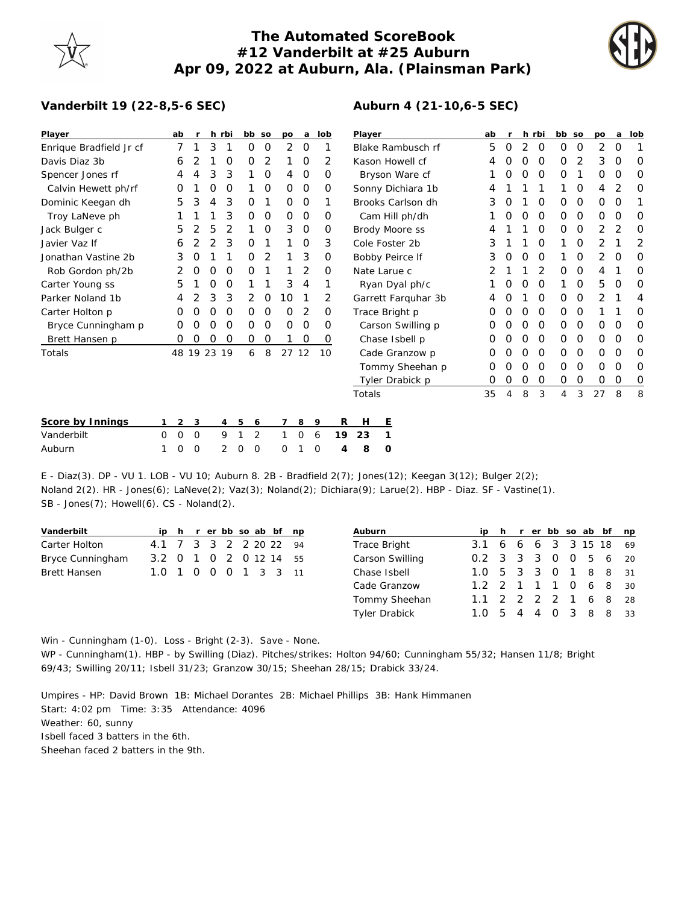## **The Automated ScoreBook #12 Vanderbilt at #25 Auburn Apr 09, 2022 at Auburn, Ala. (Plainsman Park)**



## **Vanderbilt 19 (22-8,5-6 SEC)**

| Player                  |          | ab       | r        |          | h rbi |          | bb so    | po       | a        | lob      |    | Player            |                     | ab       | r        |          | h rbi    | bb | <b>SO</b> | po       | a | lob |
|-------------------------|----------|----------|----------|----------|-------|----------|----------|----------|----------|----------|----|-------------------|---------------------|----------|----------|----------|----------|----|-----------|----------|---|-----|
| Enrique Bradfield Jr cf |          | 7        |          | 3        |       | 0        | O        | 2        | 0        |          |    | Blake Rambusch rf |                     | 5        | 0        | 2        | 0        | 0  | 0         | 2        | O |     |
| Davis Diaz 3b           |          | 6        |          |          | 0     | O        | 2        |          | 0        | 2        |    |                   | Kason Howell cf     |          |          | 0        | 0        | 0  | 2         | 3        | O | 0   |
| Spencer Jones rf        |          | 4        |          | 3        | 3     |          | 0        | 4        | 0        | 0        |    | Bryson Ware cf    |                     |          | O        | O        | 0        | 0  |           | $\Omega$ | O | 0   |
| Calvin Hewett ph/rf     |          | O        |          | Ο        | O     |          | O        | $\Omega$ | $\circ$  | 0        |    |                   | Sonny Dichiara 1b   |          |          |          |          |    | 0         | 4        | 2 | 0   |
| Dominic Keegan dh       |          | 5        | 3        | 4        | 3     | O        |          | $\Omega$ | 0        | 1        |    | Brooks Carlson dh |                     | 3        |          |          | $\Omega$ | 0  | 0         | $\Omega$ | O |     |
| Troy LaNeve ph          |          |          |          |          | 3     | 0        | 0        | $\Omega$ | 0        | 0        |    | Cam Hill ph/dh    |                     |          | $\left($ | $\Omega$ | 0        | 0  | 0         | 0        | O | 0   |
| Jack Bulger c           |          | 5        | 2        | 5        | 2     |          | 0        | 3        | $\circ$  | 0        |    |                   | Brody Moore ss      | 4        |          |          | 0        | 0  | 0         | 2        | 2 | 0   |
| Javier Vaz If           |          | 6        |          |          | 3     | O        |          |          | 0        | 3        |    |                   | Cole Foster 2b      | 3        |          |          | 0        |    | 0         | 2        |   | 2   |
| Jonathan Vastine 2b     |          | 3        |          |          |       | 0        | 2        |          | 3        | 0        |    | Bobby Peirce If   |                     |          | O        | 0        | 0        |    | 0         | 2        | O | 0   |
| Rob Gordon ph/2b        |          | 2        | O        | O        | 0     | O        |          |          | 2        | O        |    |                   | Nate Larue c        |          |          |          | 2        | 0  | 0         | 4        |   | 0   |
| Carter Young ss         |          | 5        |          | Ω        | 0     |          |          | 3        | 4        |          |    |                   | Ryan Dyal ph/c      |          |          | O        | 0        |    | 0         | 5        | O | 0   |
| Parker Noland 1b        |          | 4        |          | 3        | 3     | 2        | 0        | 10       |          | 2        |    |                   | Garrett Farquhar 3b |          |          |          | 0        | 0  | 0         | 2        |   | 4   |
| Carter Holton p         |          | O        |          | Ο        | O     | 0        | O        | O        | 2        | 0        |    |                   | Trace Bright p      | Ω        |          | O        | $\Omega$ | 0  | 0         |          |   | O   |
| Bryce Cunningham p      |          | O        |          | Ο        | 0     | O        | O        | O        | 0        | 0        |    |                   | Carson Swilling p   | O        |          | O        | 0        | 0  | 0         | 0        | O | 0   |
| Brett Hansen p          |          | O        | O        | O        | O     | 0        | 0        |          | 0        | 0        |    |                   | Chase Isbell p      |          |          | $\Omega$ | $\Omega$ | 0  | 0         | $\circ$  | O | 0   |
| Totals                  |          | 48       |          | 19 23 19 |       | 6        | 8        |          | 27 12    | 10       |    | Cade Granzow p    |                     | O        | $\left($ | $\Omega$ | $\Omega$ | 0  | 0         | $\Omega$ | 0 | 0   |
|                         |          |          |          |          |       |          |          |          |          |          |    |                   | Tommy Sheehan p     | 0        | $\left($ | $\Omega$ | 0        | 0  | 0         | 0        | 0 | 0   |
|                         |          |          |          |          |       |          |          |          |          |          |    |                   | Tyler Drabick p     | $\Omega$ | $\Omega$ | 0        | 0        | 0  | 0         | 0        | 0 | 0   |
|                         |          |          |          |          |       |          |          |          |          |          |    | Totals            | 35                  | 4        | 8        | 3        | 4        | 3  | 27        | 8        | 8 |     |
| Score by Innings        |          | 2        | 3        |          | 4     | 5        | 6        |          | 8        | 9        | R  | Н                 | Ε                   |          |          |          |          |    |           |          |   |     |
| Vanderbilt              | $\Omega$ | $\Omega$ | $\circ$  |          | 9     | 1        | 2        | 1        | $\Omega$ | 6        | 19 | 23                |                     |          |          |          |          |    |           |          |   |     |
| Auburn                  | 1        | $\Omega$ | $\Omega$ |          | 2     | $\Omega$ | $\Omega$ | O        |          | $\Omega$ | 4  | 8                 | O                   |          |          |          |          |    |           |          |   |     |

E - Diaz(3). DP - VU 1. LOB - VU 10; Auburn 8. 2B - Bradfield 2(7); Jones(12); Keegan 3(12); Bulger 2(2); Noland 2(2). HR - Jones(6); LaNeve(2); Vaz(3); Noland(2); Dichiara(9); Larue(2). HBP - Diaz. SF - Vastine(1). SB - Jones(7); Howell(6). CS - Noland(2).

|  |  |  |  | ip h r er bb so ab bf np<br>4.1 7 3 3 2 2 20 22 94<br>3.2 0 1 0 2 0 12 14 55<br>1.0 1 0 0 0 1 3 3 11 |
|--|--|--|--|------------------------------------------------------------------------------------------------------|

| Auburn          |                        |  |  |  | ip h r er bb so ab bf np |  |
|-----------------|------------------------|--|--|--|--------------------------|--|
| Trace Bright    | 3.1 6 6 6 3 3 15 18 69 |  |  |  |                          |  |
| Carson Swilling | 0.2 3 3 3 0 0 5 6 20   |  |  |  |                          |  |
| Chase Isbell    | 1.0 5 3 3 0 1 8 8 31   |  |  |  |                          |  |
| Cade Granzow    | 1.2 2 1 1 1 0 6 8 30   |  |  |  |                          |  |
| Tommy Sheehan   | 1.1 2 2 2 2 1 6 8 28   |  |  |  |                          |  |
| Tyler Drabick   | 1.0 5 4 4 0 3 8 8 33   |  |  |  |                          |  |

Win - Cunningham (1-0). Loss - Bright (2-3). Save - None.

WP - Cunningham(1). HBP - by Swilling (Diaz). Pitches/strikes: Holton 94/60; Cunningham 55/32; Hansen 11/8; Bright 69/43; Swilling 20/11; Isbell 31/23; Granzow 30/15; Sheehan 28/15; Drabick 33/24.

Umpires - HP: David Brown 1B: Michael Dorantes 2B: Michael Phillips 3B: Hank Himmanen

Start: 4:02 pm Time: 3:35 Attendance: 4096

Weather: 60, sunny

Isbell faced 3 batters in the 6th.

Sheehan faced 2 batters in the 9th.

## **Auburn 4 (21-10,6-5 SEC)**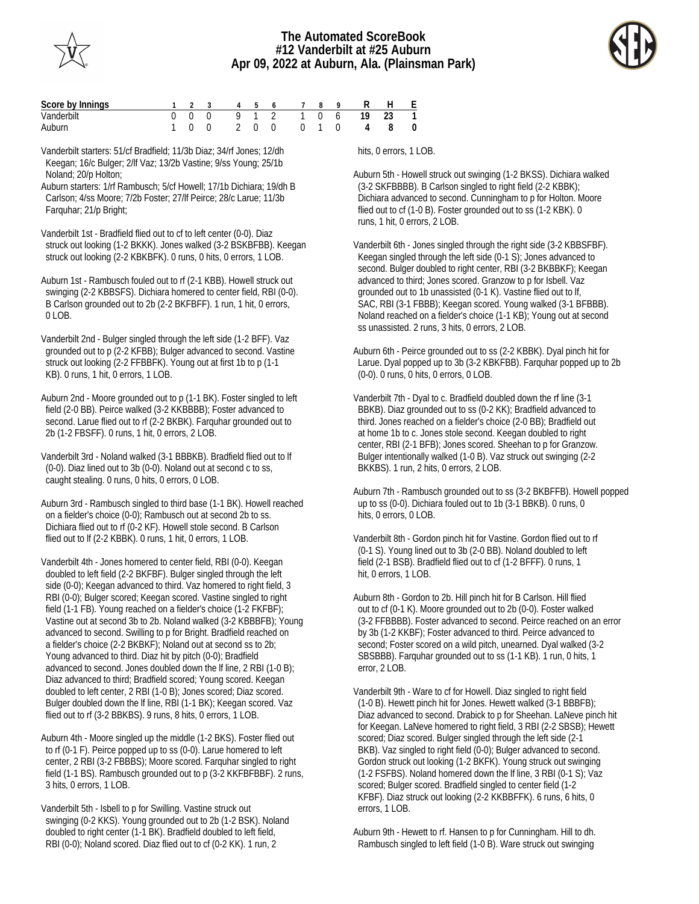



| Score by Innings |  |  |  | 1 2 3 4 5 6 7 8 9         |  | R H E |  |
|------------------|--|--|--|---------------------------|--|-------|--|
| Vanderbilt       |  |  |  | 0 0 0 9 1 2 1 0 6 19 23 1 |  |       |  |
| Auburn           |  |  |  | 100 200 010 48 0          |  |       |  |

Vanderbilt starters: 51/cf Bradfield; 11/3b Diaz; 34/rf Jones; 12/dh Keegan; 16/c Bulger; 2/lf Vaz; 13/2b Vastine; 9/ss Young; 25/1b Noland; 20/p Holton;

Auburn starters: 1/rf Rambusch; 5/cf Howell; 17/1b Dichiara; 19/dh B Carlson; 4/ss Moore; 7/2b Foster; 27/lf Peirce; 28/c Larue; 11/3b Farquhar; 21/p Bright;

Vanderbilt 1st - Bradfield flied out to cf to left center (0-0). Diaz struck out looking (1-2 BKKK). Jones walked (3-2 BSKBFBB). Keegan struck out looking (2-2 KBKBFK). 0 runs, 0 hits, 0 errors, 1 LOB.

Auburn 1st - Rambusch fouled out to rf (2-1 KBB). Howell struck out swinging (2-2 KBBSFS). Dichiara homered to center field, RBI (0-0). B Carlson grounded out to 2b (2-2 BKFBFF). 1 run, 1 hit, 0 errors, 0 LOB.

Vanderbilt 2nd - Bulger singled through the left side (1-2 BFF). Vaz grounded out to p (2-2 KFBB); Bulger advanced to second. Vastine struck out looking (2-2 FFBBFK). Young out at first 1b to p (1-1 KB). 0 runs, 1 hit, 0 errors, 1 LOB.

Auburn 2nd - Moore grounded out to p (1-1 BK). Foster singled to left field (2-0 BB). Peirce walked (3-2 KKBBBB); Foster advanced to second. Larue flied out to rf (2-2 BKBK). Farquhar grounded out to 2b (1-2 FBSFF). 0 runs, 1 hit, 0 errors, 2 LOB.

Vanderbilt 3rd - Noland walked (3-1 BBBKB). Bradfield flied out to lf (0-0). Diaz lined out to 3b (0-0). Noland out at second c to ss, caught stealing. 0 runs, 0 hits, 0 errors, 0 LOB.

Auburn 3rd - Rambusch singled to third base (1-1 BK). Howell reached on a fielder's choice (0-0); Rambusch out at second 2b to ss. Dichiara flied out to rf (0-2 KF). Howell stole second. B Carlson flied out to lf (2-2 KBBK). 0 runs, 1 hit, 0 errors, 1 LOB.

Vanderbilt 4th - Jones homered to center field, RBI (0-0). Keegan doubled to left field (2-2 BKFBF). Bulger singled through the left side (0-0); Keegan advanced to third. Vaz homered to right field, 3 RBI (0-0); Bulger scored; Keegan scored. Vastine singled to right field (1-1 FB). Young reached on a fielder's choice (1-2 FKFBF); Vastine out at second 3b to 2b. Noland walked (3-2 KBBBFB); Young advanced to second. Swilling to p for Bright. Bradfield reached on a fielder's choice (2-2 BKBKF); Noland out at second ss to 2b; Young advanced to third. Diaz hit by pitch (0-0); Bradfield advanced to second. Jones doubled down the lf line, 2 RBI (1-0 B); Diaz advanced to third; Bradfield scored; Young scored. Keegan doubled to left center, 2 RBI (1-0 B); Jones scored; Diaz scored. Bulger doubled down the lf line, RBI (1-1 BK); Keegan scored. Vaz flied out to rf (3-2 BBKBS). 9 runs, 8 hits, 0 errors, 1 LOB.

Auburn 4th - Moore singled up the middle (1-2 BKS). Foster flied out to rf (0-1 F). Peirce popped up to ss (0-0). Larue homered to left center, 2 RBI (3-2 FBBBS); Moore scored. Farquhar singled to right field (1-1 BS). Rambusch grounded out to p (3-2 KKFBFBBF). 2 runs, 3 hits, 0 errors, 1 LOB.

Vanderbilt 5th - Isbell to p for Swilling. Vastine struck out swinging (0-2 KKS). Young grounded out to 2b (1-2 BSK). Noland doubled to right center (1-1 BK). Bradfield doubled to left field, RBI (0-0); Noland scored. Diaz flied out to cf (0-2 KK). 1 run, 2

hits, 0 errors, 1 LOB.

Auburn 5th - Howell struck out swinging (1-2 BKSS). Dichiara walked (3-2 SKFBBBB). B Carlson singled to right field (2-2 KBBK); Dichiara advanced to second. Cunningham to p for Holton. Moore flied out to cf (1-0 B). Foster grounded out to ss (1-2 KBK). 0 runs, 1 hit, 0 errors, 2 LOB.

Vanderbilt 6th - Jones singled through the right side (3-2 KBBSFBF). Keegan singled through the left side (0-1 S); Jones advanced to second. Bulger doubled to right center, RBI (3-2 BKBBKF); Keegan advanced to third; Jones scored. Granzow to p for Isbell. Vaz grounded out to 1b unassisted (0-1 K). Vastine flied out to lf, SAC, RBI (3-1 FBBB); Keegan scored. Young walked (3-1 BFBBB). Noland reached on a fielder's choice (1-1 KB); Young out at second ss unassisted. 2 runs, 3 hits, 0 errors, 2 LOB.

Auburn 6th - Peirce grounded out to ss (2-2 KBBK). Dyal pinch hit for Larue. Dyal popped up to 3b (3-2 KBKFBB). Farquhar popped up to 2b (0-0). 0 runs, 0 hits, 0 errors, 0 LOB.

Vanderbilt 7th - Dyal to c. Bradfield doubled down the rf line (3-1 BBKB). Diaz grounded out to ss (0-2 KK); Bradfield advanced to third. Jones reached on a fielder's choice (2-0 BB); Bradfield out at home 1b to c. Jones stole second. Keegan doubled to right center, RBI (2-1 BFB); Jones scored. Sheehan to p for Granzow. Bulger intentionally walked (1-0 B). Vaz struck out swinging (2-2 BKKBS). 1 run, 2 hits, 0 errors, 2 LOB.

Auburn 7th - Rambusch grounded out to ss (3-2 BKBFFB). Howell popped up to ss (0-0). Dichiara fouled out to 1b (3-1 BBKB). 0 runs, 0 hits, 0 errors, 0 LOB.

Vanderbilt 8th - Gordon pinch hit for Vastine. Gordon flied out to rf (0-1 S). Young lined out to 3b (2-0 BB). Noland doubled to left field (2-1 BSB). Bradfield flied out to cf (1-2 BFFF). 0 runs, 1 hit, 0 errors, 1 LOB.

Auburn 8th - Gordon to 2b. Hill pinch hit for B Carlson. Hill flied out to cf (0-1 K). Moore grounded out to 2b (0-0). Foster walked (3-2 FFBBBB). Foster advanced to second. Peirce reached on an error by 3b (1-2 KKBF); Foster advanced to third. Peirce advanced to second; Foster scored on a wild pitch, unearned. Dyal walked (3-2 SBSBBB). Farquhar grounded out to ss (1-1 KB). 1 run, 0 hits, 1 error, 2 LOB.

Vanderbilt 9th - Ware to cf for Howell. Diaz singled to right field (1-0 B). Hewett pinch hit for Jones. Hewett walked (3-1 BBBFB); Diaz advanced to second. Drabick to p for Sheehan. LaNeve pinch hit for Keegan. LaNeve homered to right field, 3 RBI (2-2 SBSB); Hewett scored; Diaz scored. Bulger singled through the left side (2-1 BKB). Vaz singled to right field (0-0); Bulger advanced to second. Gordon struck out looking (1-2 BKFK). Young struck out swinging (1-2 FSFBS). Noland homered down the lf line, 3 RBI (0-1 S); Vaz scored; Bulger scored. Bradfield singled to center field (1-2 KFBF). Diaz struck out looking (2-2 KKBBFFK). 6 runs, 6 hits, 0 errors, 1 LOB.

Auburn 9th - Hewett to rf. Hansen to p for Cunningham. Hill to dh. Rambusch singled to left field (1-0 B). Ware struck out swinging